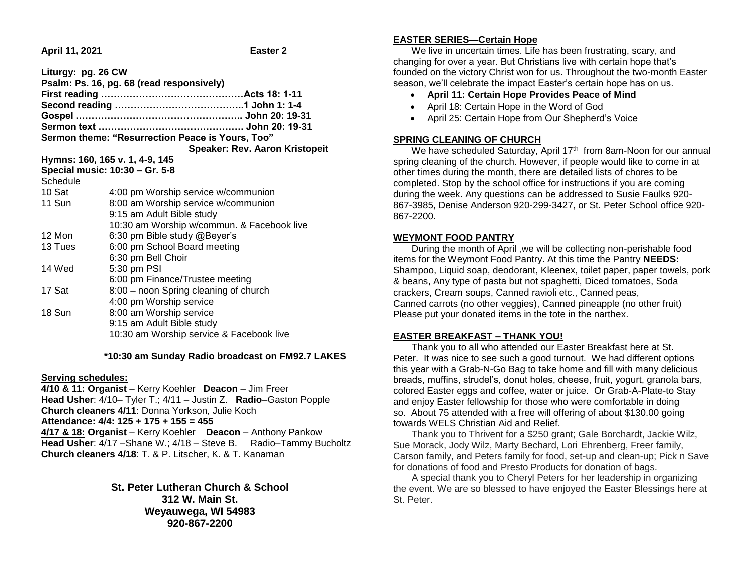**April 11, 2021 Easter 2**

| Liturgy: pg. 26 CW<br>Psalm: Ps. 16, pg. 68 (read responsively) |                                                  |
|-----------------------------------------------------------------|--------------------------------------------------|
|                                                                 |                                                  |
|                                                                 |                                                  |
|                                                                 |                                                  |
|                                                                 |                                                  |
|                                                                 | Sermon theme: "Resurrection Peace is Yours, Too" |
|                                                                 | Speaker: Rev. Aaron Kristopeit                   |
| Hymns: 160, 165 v. 1, 4-9, 145                                  |                                                  |
|                                                                 | Special music: 10:30 - Gr. 5-8                   |
| Schedule                                                        |                                                  |
| 10 Sat                                                          | 4:00 pm Worship service w/communion              |
| 11 Sun                                                          | 8:00 am Worship service w/communion              |
|                                                                 | 9:15 am Adult Bible study                        |
|                                                                 | 10:30 am Worship w/commun. & Facebook live       |
| 12 Mon                                                          | 6:30 pm Bible study @Beyer's                     |
| 13 Tues                                                         | 6:00 pm School Board meeting                     |
|                                                                 | 6:30 pm Bell Choir                               |
| 14 Wed                                                          | 5:30 pm PSI                                      |
|                                                                 | 6:00 pm Finance/Trustee meeting                  |
| 17 Sat                                                          | 8:00 - noon Spring cleaning of church            |
|                                                                 | 4:00 pm Worship service                          |
| 18 Sun                                                          | 8:00 am Worship service                          |
|                                                                 | 9:15 am Adult Bible study                        |
|                                                                 | 10:30 am Worship service & Facebook live         |
|                                                                 |                                                  |

 **\*10:30 am Sunday Radio broadcast on FM92.7 LAKES**

### **Serving schedules:**

**4/10 & 11: Organist** – Kerry Koehler **Deacon** – Jim Freer **Head Usher**: 4/10– Tyler T.; 4/11 – Justin Z. **Radio**–Gaston Popple **Church cleaners 4/11**: Donna Yorkson, Julie Koch **Attendance: 4/4: 125 + 175 + 155 = 455 4/17 & 18: Organist** – Kerry Koehler **Deacon** – Anthony Pankow **Head Usher**: 4/17 –Shane W.; 4/18 – Steve B. Radio–Tammy Bucholtz **Church cleaners 4/18**: T. & P. Litscher, K. & T. Kanaman

> **St. Peter Lutheran Church & School 312 W. Main St. Weyauwega, WI 54983 920-867-2200**

### **EASTER SERIES—Certain Hope**

 We live in uncertain times. Life has been frustrating, scary, and changing for over a year. But Christians live with certain hope that's founded on the victory Christ won for us. Throughout the two-month Easter season, we'll celebrate the impact Easter's certain hope has on us.

- **April 11: Certain Hope Provides Peace of Mind**
- April 18: Certain Hope in the Word of God
- April 25: Certain Hope from Our Shepherd's Voice

## **SPRING CLEANING OF CHURCH**

We have scheduled Saturday, April 17<sup>th</sup> from 8am-Noon for our annual spring cleaning of the church. However, if people would like to come in at other times during the month, there are detailed lists of chores to be completed. Stop by the school office for instructions if you are coming during the week. Any questions can be addressed to Susie Faulks 920- 867-3985, Denise Anderson 920-299-3427, or St. Peter School office 920- 867-2200.

# **WEYMONT FOOD PANTRY**

 During the month of April ,we will be collecting non-perishable food items for the Weymont Food Pantry. At this time the Pantry **NEEDS:** Shampoo, Liquid soap, deodorant, Kleenex, toilet paper, paper towels, pork & beans, Any type of pasta but not spaghetti, Diced tomatoes, Soda crackers, Cream soups, Canned ravioli etc., Canned peas, Canned carrots (no other veggies), Canned pineapple (no other fruit) Please put your donated items in the tote in the narthex.

## **EASTER BREAKFAST – THANK YOU!**

 Thank you to all who attended our Easter Breakfast here at St. Peter. It was nice to see such a good turnout. We had different options this year with a Grab-N-Go Bag to take home and fill with many delicious breads, muffins, strudel's, donut holes, cheese, fruit, yogurt, granola bars, colored Easter eggs and coffee, water or juice. Or Grab-A-Plate-to Stay and enjoy Easter fellowship for those who were comfortable in doing so. About 75 attended with a free will offering of about \$130.00 going towards WELS Christian Aid and Relief.

 Thank you to Thrivent for a \$250 grant; Gale Borchardt, Jackie Wilz, Sue Morack, Jody Wilz, Marty Bechard, Lori Ehrenberg, Freer family, Carson family, and Peters family for food, set-up and clean-up; Pick n Save for donations of food and Presto Products for donation of bags.

 A special thank you to Cheryl Peters for her leadership in organizing the event. We are so blessed to have enjoyed the Easter Blessings here at St. Peter.